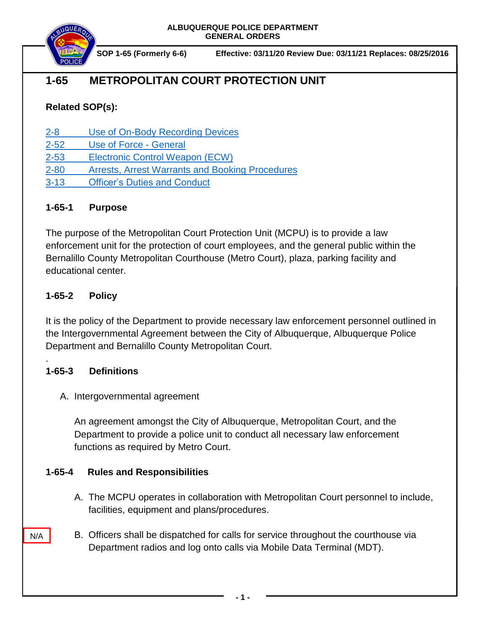**ALBUQUERQUE POLICE DEPARTMENT GENERAL ORDERS**



**SOP 1-65 (Formerly 6-6) Effective: 03/11/20 Review Due: 03/11/21 Replaces: 08/25/2016**

# **1-65 METROPOLITAN COURT PROTECTION UNIT**

## **Related SOP(s):**

- [2-8 Use of On-Body Recording Devices](https://powerdms.com/link/IDS/document/?id=1137)
- [2-52 Use of Force](https://powerdms.com/link/IDS/document/?id=1897088) General
- [2-53 Electronic Control Weapon \(ECW\)](https://powerdms.com/link/IDS/document/?id=1897089)
- [2-80 Arrests, Arrest Warrants and Booking Procedures](https://powerdms.com/link/IDS/document/?id=97)
- [3-13 Officer's Duties and Conduct](https://powerdms.com/link/IDS/document/?id=12)

### **1-65-1 Purpose**

The purpose of the Metropolitan Court Protection Unit (MCPU) is to provide a law enforcement unit for the protection of court employees, and the general public within the Bernalillo County Metropolitan Courthouse (Metro Court), plaza, parking facility and educational center.

### **1-65-2 Policy**

It is the policy of the Department to provide necessary law enforcement personnel outlined in the Intergovernmental Agreement between the City of Albuquerque, Albuquerque Police Department and Bernalillo County Metropolitan Court.

### **1-65-3 Definitions**

.

N/A

A. Intergovernmental agreement

An agreement amongst the City of Albuquerque, Metropolitan Court, and the Department to provide a police unit to conduct all necessary law enforcement functions as required by Metro Court.

### **1-65-4 Rules and Responsibilities**

- A. The MCPU operates in collaboration with Metropolitan Court personnel to include, facilities, equipment and plans/procedures.
- B. Officers shall be dispatched for calls for service throughout the courthouse via Department radios and log onto calls via Mobile Data Terminal (MDT).